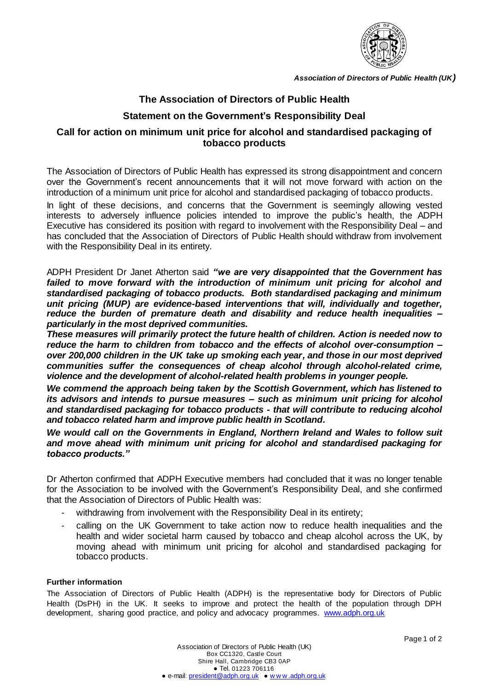

*Association of Directors of Public Health (UK)*

# **The Association of Directors of Public Health**

## **Statement on the Government's Responsibility Deal**

### **Call for action on minimum unit price for alcohol and standardised packaging of tobacco products**

The Association of Directors of Public Health has expressed its strong disappointment and concern over the Government's recent announcements that it will not move forward with action on the introduction of a minimum unit price for alcohol and standardised packaging of tobacco products.

In light of these decisions, and concerns that the Government is seemingly allowing vested interests to adversely influence policies intended to improve the public's health, the ADPH Executive has considered its position with regard to involvement with the Responsibility Deal – and has concluded that the Association of Directors of Public Health should withdraw from involvement with the Responsibility Deal in its entirety.

ADPH President Dr Janet Atherton said *"we are very disappointed that the Government has*  failed to move forward with the introduction of minimum unit pricing for alcohol and *standardised packaging of tobacco products. Both standardised packaging and minimum unit pricing (MUP) are evidence-based interventions that will, individually and together, reduce the burden of premature death and disability and reduce health inequalities – particularly in the most deprived communities.* 

*These measures will primarily protect the future health of children. Action is needed now to reduce the harm to children from tobacco and the effects of alcohol over-consumption – over 200,000 children in the UK take up smoking each year, and those in our most deprived communities suffer the consequences of cheap alcohol through alcohol-related crime, violence and the development of alcohol-related health problems in younger people.*

*We commend the approach being taken by the Scottish Government, which has listened to its advisors and intends to pursue measures – such as minimum unit pricing for alcohol and standardised packaging for tobacco products - that will contribute to reducing alcohol and tobacco related harm and improve public health in Scotland.*

*We would call on the Governments in England, Northern Ireland and Wales to follow suit and move ahead with minimum unit pricing for alcohol and standardised packaging for tobacco products."*

Dr Atherton confirmed that ADPH Executive members had concluded that it was no longer tenable for the Association to be involved with the Government's Responsibility Deal, and she confirmed that the Association of Directors of Public Health was:

- withdrawing from involvement with the Responsibility Deal in its entirety;
- calling on the UK Government to take action now to reduce health inequalities and the health and wider societal harm caused by tobacco and cheap alcohol across the UK, by moving ahead with minimum unit pricing for alcohol and standardised packaging for tobacco products.

#### **Further information**

The Association of Directors of Public Health (ADPH) is the representative body for Directors of Public Health (DsPH) in the UK. It seeks to improve and protect the health of the population through DPH development, sharing good practice, and policy and advocacy programmes. [www.adph.org.uk](http://www.adph.org.uk/)